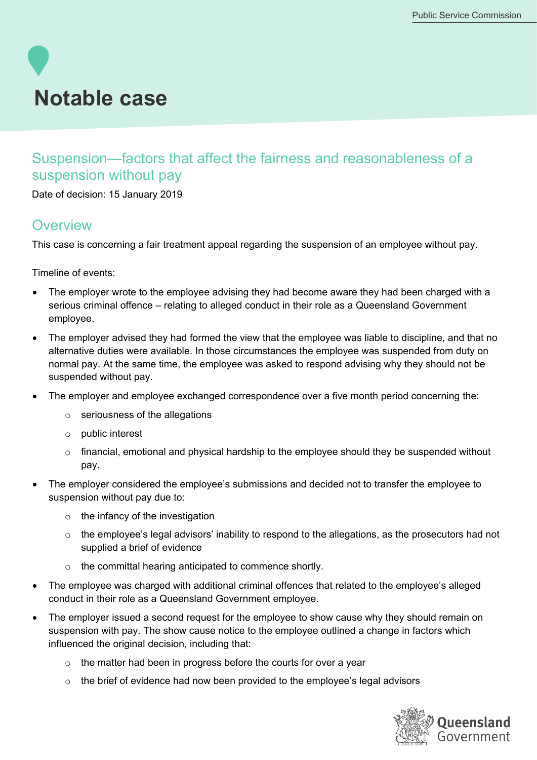# **Notable case**

## Suspension—factors that affect the fairness and reasonableness of a suspension without pay

Date of decision: 15 January 2019

### **Overview**

This case is concerning a fair treatment appeal regarding the suspension of an employee without pay.

Timeline of events:

- The employer wrote to the employee advising they had become aware they had been charged with a serious criminal offence – relating to alleged conduct in their role as a Queensland Government employee.
- The employer advised they had formed the view that the employee was liable to discipline, and that no alternative duties were available. In those circumstances the employee was suspended from duty on normal pay. At the same time, the employee was asked to respond advising why they should not be suspended without pay.
- The employer and employee exchanged correspondence over a five month period concerning the:
	- $\circ$  seriousness of the allegations
	- o public interest
	- o financial, emotional and physical hardship to the employee should they be suspended without pay.
- The employer considered the employee's submissions and decided not to transfer the employee to suspension without pay due to:
	- o the infancy of the investigation
	- o the employee's legal advisors' inability to respond to the allegations, as the prosecutors had not supplied a brief of evidence
	- o the committal hearing anticipated to commence shortly.
- The employee was charged with additional criminal offences that related to the employee's alleged conduct in their role as a Queensland Government employee.
- The employer issued a second request for the employee to show cause why they should remain on suspension with pay. The show cause notice to the employee outlined a change in factors which influenced the original decision, including that:
	- o the matter had been in progress before the courts for over a year
	- $\circ$  the brief of evidence had now been provided to the employee's legal advisors

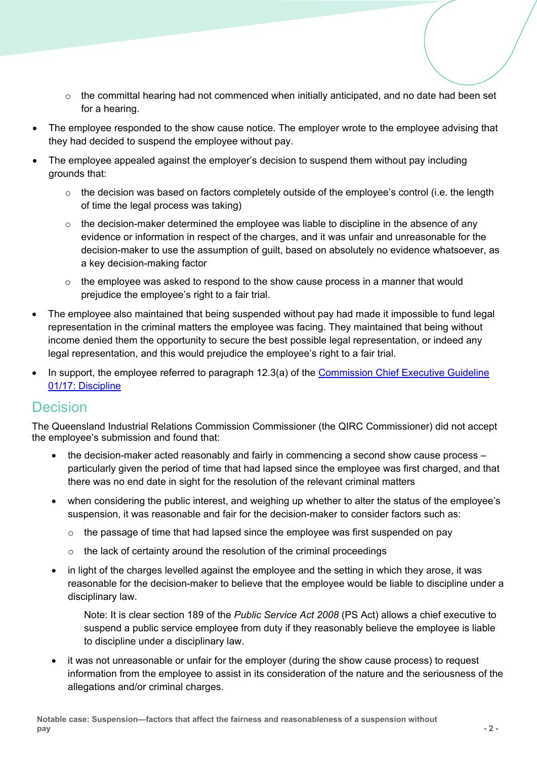- $\circ$  the committal hearing had not commenced when initially anticipated, and no date had been set for a hearing.
- The employee responded to the show cause notice. The employer wrote to the employee advising that they had decided to suspend the employee without pay.
- The employee appealed against the employer's decision to suspend them without pay including grounds that:
	- $\circ$  the decision was based on factors completely outside of the employee's control (i.e. the length of time the legal process was taking)
	- $\circ$  the decision-maker determined the employee was liable to discipline in the absence of any evidence or information in respect of the charges, and it was unfair and unreasonable for the decision-maker to use the assumption of guilt, based on absolutely no evidence whatsoever, as a key decision-making factor
	- $\circ$  the employee was asked to respond to the show cause process in a manner that would prejudice the employee's right to a fair trial.
- The employee also maintained that being suspended without pay had made it impossible to fund legal representation in the criminal matters the employee was facing. They maintained that being without income denied them the opportunity to secure the best possible legal representation, or indeed any legal representation, and this would prejudice the employee's right to a fair trial.
- In support, the employee referred to paragraph 12.3(a) of the [Commission Chief Executive Guideline](https://www.forgov.qld.gov.au/documents/guideline/discipline-guideline-0)  [01/17: Discipline](https://www.forgov.qld.gov.au/documents/guideline/discipline-guideline-0)

### Decision

The Queensland Industrial Relations Commission Commissioner (the QIRC Commissioner) did not accept the employee's submission and found that:

- the decision-maker acted reasonably and fairly in commencing a second show cause process  $$ particularly given the period of time that had lapsed since the employee was first charged, and that there was no end date in sight for the resolution of the relevant criminal matters
- when considering the public interest, and weighing up whether to alter the status of the employee's suspension, it was reasonable and fair for the decision-maker to consider factors such as:
	- $\circ$  the passage of time that had lapsed since the employee was first suspended on pay
	- o the lack of certainty around the resolution of the criminal proceedings
- in light of the charges levelled against the employee and the setting in which they arose, it was reasonable for the decision-maker to believe that the employee would be liable to discipline under a disciplinary law.

Note: It is clear section 189 of the *Public Service Act 2008* (PS Act) allows a chief executive to suspend a public service employee from duty if they reasonably believe the employee is liable to discipline under a disciplinary law.

• it was not unreasonable or unfair for the employer (during the show cause process) to request information from the employee to assist in its consideration of the nature and the seriousness of the allegations and/or criminal charges.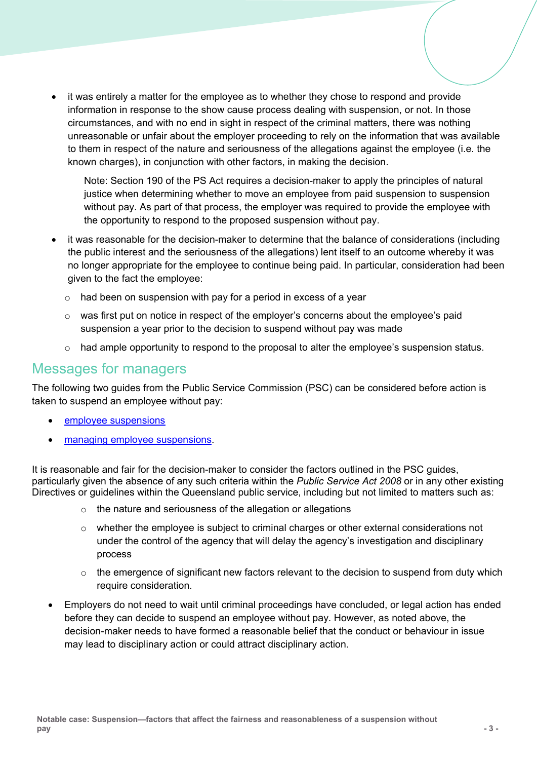• it was entirely a matter for the employee as to whether they chose to respond and provide information in response to the show cause process dealing with suspension, or not. In those circumstances, and with no end in sight in respect of the criminal matters, there was nothing unreasonable or unfair about the employer proceeding to rely on the information that was available to them in respect of the nature and seriousness of the allegations against the employee (i.e. the known charges), in conjunction with other factors, in making the decision.

Note: Section 190 of the PS Act requires a decision-maker to apply the principles of natural justice when determining whether to move an employee from paid suspension to suspension without pay. As part of that process, the employer was required to provide the employee with the opportunity to respond to the proposed suspension without pay.

- it was reasonable for the decision-maker to determine that the balance of considerations (including the public interest and the seriousness of the allegations) lent itself to an outcome whereby it was no longer appropriate for the employee to continue being paid. In particular, consideration had been given to the fact the employee:
	- o had been on suspension with pay for a period in excess of a year
	- $\circ$  was first put on notice in respect of the employer's concerns about the employee's paid suspension a year prior to the decision to suspend without pay was made
	- $\circ$  had ample opportunity to respond to the proposal to alter the emplovee's suspension status.

#### Messages for managers

The following two guides from the Public Service Commission (PSC) can be considered before action is taken to suspend an employee without pay:

- [employee suspensions](https://www.forgov.qld.gov.au/employee-suspensions),)
- [managing employee suspensions.](https://www.forgov.qld.gov.au/manage-employee-suspensions)

It is reasonable and fair for the decision-maker to consider the factors outlined in the PSC guides, particularly given the absence of any such criteria within the *Public Service Act 2008* or in any other existing Directives or guidelines within the Queensland public service, including but not limited to matters such as:

- o the nature and seriousness of the allegation or allegations
- o whether the employee is subject to criminal charges or other external considerations not under the control of the agency that will delay the agency's investigation and disciplinary process
- $\circ$  the emergence of significant new factors relevant to the decision to suspend from duty which require consideration.
- Employers do not need to wait until criminal proceedings have concluded, or legal action has ended before they can decide to suspend an employee without pay. However, as noted above, the decision-maker needs to have formed a reasonable belief that the conduct or behaviour in issue may lead to disciplinary action or could attract disciplinary action.